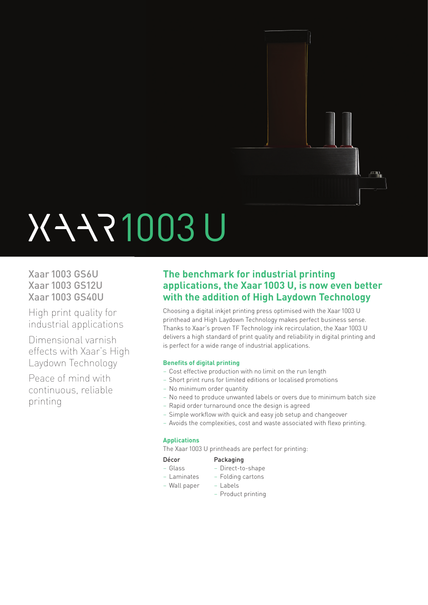

# 1003 U

Xaar 1003 GS6U Xaar 1003 GS12U Xaar 1003 GS40U

High print quality for industrial applications

Dimensional varnish effects with Xaar's High Laydown Technology

Peace of mind with continuous, reliable printing

### **The benchmark for industrial printing applications, the Xaar 1003 U, is now even better with the addition of High Laydown Technology**

Choosing a digital inkjet printing press optimised with the Xaar 1003 U printhead and High Laydown Technology makes perfect business sense. Thanks to Xaar's proven TF Technology ink recirculation, the Xaar 1003 U delivers a high standard of print quality and reliability in digital printing and is perfect for a wide range of industrial applications.

### **Benefits of digital printing**

- Cost effective production with no limit on the run length
- Short print runs for limited editions or localised promotions
- No minimum order quantity
- No need to produce unwanted labels or overs due to minimum batch size
- Rapid order turnaround once the design is agreed
- Simple workflow with quick and easy job setup and changeover
- Avoids the complexities, cost and waste associated with flexo printing.

### **Applications**

The Xaar 1003 U printheads are perfect for printing:

### Décor Packaging

- 
- Glass Direct-to-shape
- Laminates Folding cartons
- Wall paper Labels
	- Product printing